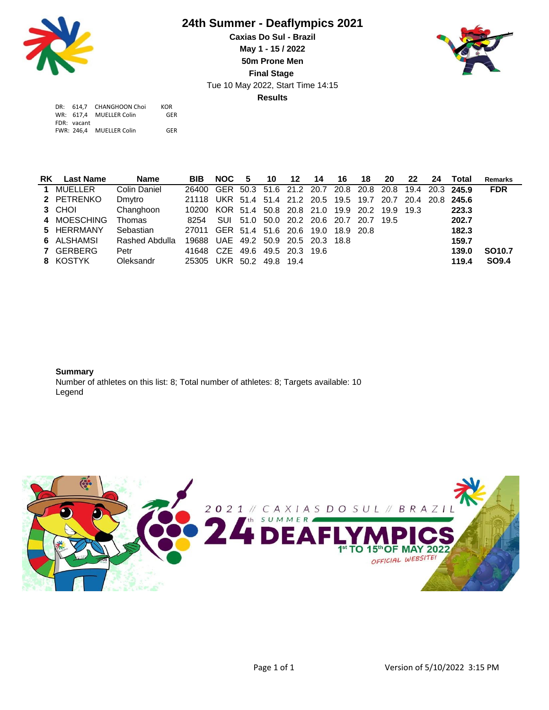

## **24th Summer - Deaflympics 2021**

Tue 10 May 2022, Start Time 14:15 **Caxias Do Sul - Brazil May 1 - 15 / 2022 50m Prone Men Final Stage Results**



|             | DR: 614.7 CHANGHOON Choi | <b>KOR</b> |
|-------------|--------------------------|------------|
|             | WR: 617.4 MUELLER Colin  | GFR        |
| FDR: vacant |                          |            |
| FWR: 246.4  | <b>MUELLER Colin</b>     | GFR        |

| <b>RK</b> Last Name | <b>Name</b>    | <b>BIB</b>                                                   | NOC 5 | 10 | 12 |  | -20 | 22 | 24 Total | Remarks       |
|---------------------|----------------|--------------------------------------------------------------|-------|----|----|--|-----|----|----------|---------------|
| 1 MUELLER           | Colin Daniel   | 26400 GER 50.3 51.6 21.2 20.7 20.8 20.8 20.8 19.4 20.3 245.9 |       |    |    |  |     |    |          | <b>FDR</b>    |
| 2 PETRENKO          | Dmytro         | 21118 UKR 51.4 51.4 21.2 20.5 19.5 19.7 20.7 20.4 20.8 245.6 |       |    |    |  |     |    |          |               |
| 3 CHOI              | Changhoon      | 10200 KOR 51.4 50.8 20.8 21.0 19.9 20.2 19.9 19.3            |       |    |    |  |     |    | 223.3    |               |
| 4 MOESCHING         | Thomas         | 8254 SUI 51.0 50.0 20.2 20.6 20.7 20.7 19.5                  |       |    |    |  |     |    | 202.7    |               |
| 5 HERRMANY          | Sebastian      | 27011 GER 51.4 51.6 20.6 19.0 18.9 20.8                      |       |    |    |  |     |    | 182.3    |               |
| 6 ALSHAMSI          | Rashed Abdulla | 19688 UAE 49.2 50.9 20.5 20.3 18.8                           |       |    |    |  |     |    | 159.7    |               |
| 7 GERBERG           | Petr           | 41648 CZE 49.6 49.5 20.3 19.6                                |       |    |    |  |     |    | 139.0    | <b>SO10.7</b> |
| 8 KOSTYK            | Oleksandr      | 25305 UKR 50.2 49.8 19.4                                     |       |    |    |  |     |    | 119.4    | <b>SO9.4</b>  |

## **Summary**

Number of athletes on this list: 8; Total number of athletes: 8; Targets available: 10 Legend